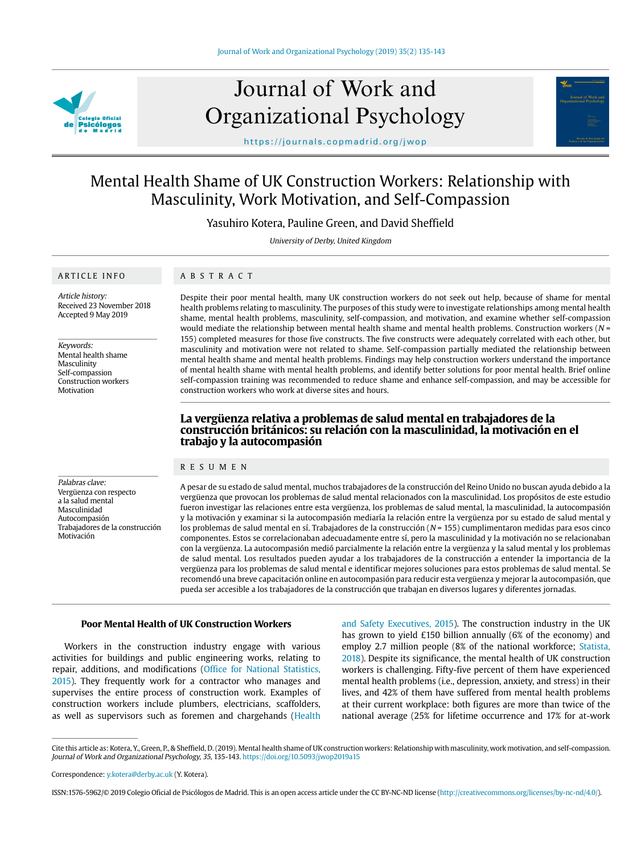

# Journal of Work and Organizational Psychology



https://journals.copmadrid.org/jwop

# Mental Health Shame of UK Construction Workers: Relationship with Masculinity, Work Motivation, and Self-Compassion

Yasuhiro Kotera, Pauline Green, and David Sheffield

University of Derby, United Kingdom

# ARTICLE INFO

ABSTRACT

Article history: Received 23 November 2018 Accepted 9 May 2019

Keywords: Mental health shame Masculinity Self-compassion Construction workers Motivation

Despite their poor mental health, many UK construction workers do not seek out help, because of shame for mental health problems relating to masculinity. The purposes of this study were to investigate relationships among mental health shame, mental health problems, masculinity, self-compassion, and motivation, and examine whether self-compassion would mediate the relationship between mental health shame and mental health problems. Construction workers ( $N =$ 155) completed measures for those five constructs. The five constructs were adequately correlated with each other, but masculinity and motivation were not related to shame. Self-compassion partially mediated the relationship between mental health shame and mental health problems. Findings may help construction workers understand the importance of mental health shame with mental health problems, and identify better solutions for poor mental health. Brief online self-compassion training was recommended to reduce shame and enhance self-compassion, and may be accessible for construction workers who work at diverse sites and hours.

# **La vergüenza relativa a problemas de salud mental en trabajadores de la construcción británicos: su relación con la masculinidad, la motivación en el trabajo y la autocompasión**

#### RESUMEN

Palabras clave: Vergüenza con respecto a la salud mental Masculinidad Autocompasión Trabajadores de la construcción Motivación

A pesar de su estado de salud mental, muchos trabajadores de la construcción del Reino Unido no buscan ayuda debido a la vergüenza que provocan los problemas de salud mental relacionados con la masculinidad. Los propósitos de este estudio fueron investigar las relaciones entre esta vergüenza, los problemas de salud mental, la masculinidad, la autocompasión y la motivación y examinar si la autocompasión mediaría la relación entre la vergüenza por su estado de salud mental y los problemas de salud mental en sí. Trabajadores de la construcción ( $N = 155$ ) cumplimentaron medidas para esos cinco componentes. Estos se correlacionaban adecuadamente entre sí, pero la masculinidad y la motivación no se relacionaban con la vergüenza. La autocompasión medió parcialmente la relación entre la vergüenza y la salud mental y los problemas de salud mental. Los resultados pueden ayudar a los trabajadores de la construcción a entender la importancia de la vergüenza para los problemas de salud mental e identificar mejores soluciones para estos problemas de salud mental. Se recomendó una breve capacitación online en autocompasión para reducir esta vergüenza y mejorar la autocompasión, que pueda ser accesible a los trabajadores de la construcción que trabajan en diversos lugares y diferentes jornadas.

# **Poor Mental Health of UK Construction Workers**

Workers in the construction industry engage with various activities for buildings and public engineering works, relating to repair, additions, and modifications [\(Office for National Statistics,](#page-7-0)  [2015](#page-7-0)). They frequently work for a contractor who manages and supervises the entire process of construction work. Examples of construction workers include plumbers, electricians, scaffolders, as well as supervisors such as foremen and chargehands ([Health](#page-6-0) 

[and Safety Executives, 2015\)](#page-6-0). The construction industry in the UK has grown to yield £150 billion annually (6% of the economy) and employ 2.7 million people (8% of the national workforce; [Statista,](#page-7-1) [2018](#page-7-1)). Despite its significance, the mental health of UK construction workers is challenging. Fifty-five percent of them have experienced mental health problems (i.e., depression, anxiety, and stress) in their lives, and 42% of them have suffered from mental health problems at their current workplace: both figures are more than twice of the national average (25% for lifetime occurrence and 17% for at-work

Cite this article as: Kotera, Y., Green, P., & Sheffield, D. (2019). Mental health shame of UK construction workers: Relationship with masculinity, work motivation, and self-compassion. Journal of Work and Organizational Psychology, 35, 135-143. https://doi.org/10.5093/jwop2019a15

Correspondence: y.kotera@derby.ac.uk (Y. Kotera).

ISSN:1576-5962/© 2019 Colegio Oficial de Psicólogos de Madrid. This is an open access article under the CC BY-NC-ND license (http://creativecommons.org/licenses/by-nc-nd/4.0/).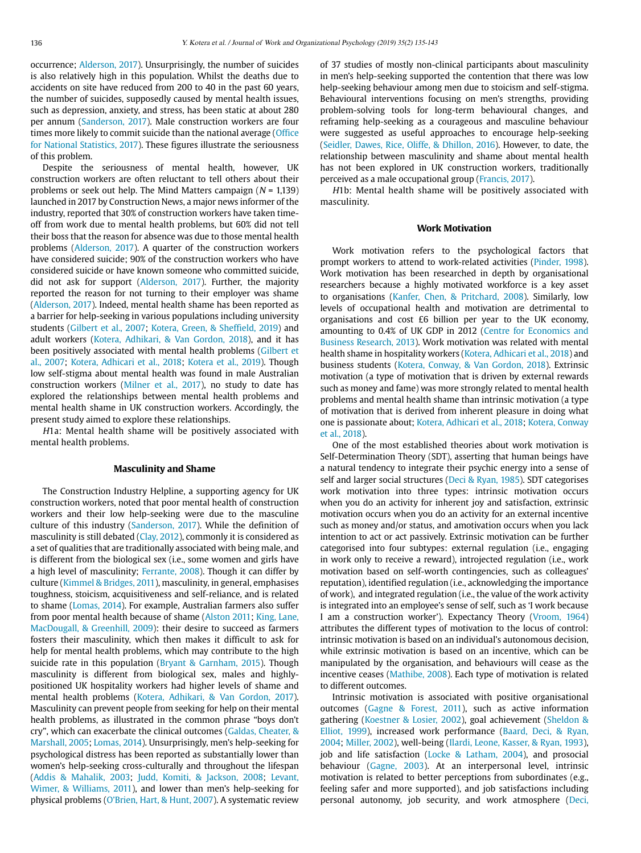occurrence; [Alderson, 2017\)](#page-6-1). Unsurprisingly, the number of suicides is also relatively high in this population. Whilst the deaths due to accidents on site have reduced from 200 to 40 in the past 60 years, the number of suicides, supposedly caused by mental health issues, such as depression, anxiety, and stress, has been static at about 280 per annum ([Sanderson, 2017](#page-7-2)). Male construction workers are four times more likely to commit suicide than the national average [\(Office](#page-7-0)  [for National Statistics, 2017](#page-7-0)). These figures illustrate the seriousness of this problem.

Despite the seriousness of mental health, however, UK construction workers are often reluctant to tell others about their problems or seek out help. The Mind Matters campaign  $(N = 1.139)$ launched in 2017 by Construction News, a major news informer of the industry, reported that 30% of construction workers have taken timeoff from work due to mental health problems, but 60% did not tell their boss that the reason for absence was due to those mental health problems [\(Alderson, 2017\)](#page-6-1). A quarter of the construction workers have considered suicide; 90% of the construction workers who have considered suicide or have known someone who committed suicide, did not ask for support [\(Alderson, 2017](#page-6-1)). Further, the majority reported the reason for not turning to their employer was shame [\(Alderson, 2017](#page-6-1)). Indeed, mental health shame has been reported as a barrier for help-seeking in various populations including university students [\(Gilbert et al., 2007](#page-6-2); [Kotera, Green, & Sheffield, 2019](#page-7-3)) and adult workers [\(Kotera, Adhikari, & Van Gordon, 2018](#page-7-3)), and it has been positively associated with mental health problems [\(Gilbert et](#page-6-2)  [al., 2007](#page-6-2); [Kotera, Adhicari et al., 2018;](#page-7-3) [Kotera et al., 2019](#page-7-3)). Though low self-stigma about mental health was found in male Australian construction workers [\(Milner et al., 2017\)](#page-7-4), no study to date has explored the relationships between mental health problems and mental health shame in UK construction workers. Accordingly, the present study aimed to explore these relationships.

H1a: Mental health shame will be positively associated with mental health problems.

#### **Masculinity and Shame**

The Construction Industry Helpline, a supporting agency for UK construction workers, noted that poor mental health of construction workers and their low help-seeking were due to the masculine culture of this industry [\(Sanderson, 2017\)](#page-7-2). While the definition of masculinity is still debated [\(Clay, 2012](#page-6-3)), commonly it is considered as a set of qualities that are traditionally associated with being male, and is different from the biological sex (i.e., some women and girls have a high level of masculinity; [Ferrante, 2008](#page-6-4)). Though it can differ by culture ([Kimmel & Bridges, 2011](#page-7-5)), masculinity, in general, emphasises toughness, stoicism, acquisitiveness and self-reliance, and is related to shame ([Lomas, 2014\)](#page-7-6). For example, Australian farmers also suffer from poor mental health because of shame ([Alston 2011](#page-6-5); [King, Lane,](#page-7-7)  [MacDougall, & Greenhill, 2009](#page-7-7)): their desire to succeed as farmers fosters their masculinity, which then makes it difficult to ask for help for mental health problems, which may contribute to the high suicide rate in this population ([Bryant & Garnham, 2015](#page-6-6)). Though masculinity is different from biological sex, males and highlypositioned UK hospitality workers had higher levels of shame and mental health problems [\(Kotera, Adhikari, & Van Gordon, 2017](#page-7-3)). Masculinity can prevent people from seeking for help on their mental health problems, as illustrated in the common phrase "boys don't cry", which can exacerbate the clinical outcomes ([Galdas, Cheater, &](#page-6-7)  [Marshall, 2005;](#page-6-7) [Lomas, 2014\)](#page-7-6). Unsurprisingly, men's help-seeking for psychological distress has been reported as substantially lower than women's help-seeking cross-culturally and throughout the lifespan [\(Addis & Mahalik, 2003;](#page-6-8) [Judd, Komiti, & Jackson, 2008;](#page-7-8) [Levant,](#page-7-9)  [Wimer, & Williams, 2011\)](#page-7-9), and lower than men's help-seeking for physical problems [\(O'Brien, Hart, & Hunt, 2007](#page-7-10)). A systematic review of 37 studies of mostly non-clinical participants about masculinity in men's help-seeking supported the contention that there was low help-seeking behaviour among men due to stoicism and self-stigma. Behavioural interventions focusing on men's strengths, providing problem-solving tools for long-term behavioural changes, and reframing help-seeking as a courageous and masculine behaviour were suggested as useful approaches to encourage help-seeking ([Seidler, Dawes, Rice, Oliffe, & Dhillon, 2016](#page-7-11)). However, to date, the relationship between masculinity and shame about mental health has not been explored in UK construction workers, traditionally perceived as a male occupational group ([Francis, 2017](#page-6-9)).

H1b: Mental health shame will be positively associated with masculinity.

#### **Work Motivation**

Work motivation refers to the psychological factors that prompt workers to attend to work-related activities [\(Pinder, 1998](#page-7-12)). Work motivation has been researched in depth by organisational researchers because a highly motivated workforce is a key asset to organisations [\(Kanfer, Chen, & Pritchard, 2008\)](#page-7-13). Similarly, low levels of occupational health and motivation are detrimental to organisations and cost £6 billion per year to the UK economy, amounting to 0.4% of UK GDP in 2012 ([Centre for Economics and](#page-6-10) [Business Research, 2013\)](#page-6-10). Work motivation was related with mental health shame in hospitality workers ([Kotera, Adhicari et al., 2018\)](#page-7-3) and business students ([Kotera, Conway, & Van Gordon, 2018](#page-7-3)). Extrinsic motivation (a type of motivation that is driven by external rewards such as money and fame) was more strongly related to mental health problems and mental health shame than intrinsic motivation (a type of motivation that is derived from inherent pleasure in doing what one is passionate about; [Kotera, Adhicari et al., 2018](#page-7-3); [Kotera, Conway](#page-7-3) [et al., 2018](#page-7-3)).

One of the most established theories about work motivation is Self-Determination Theory (SDT), asserting that human beings have a natural tendency to integrate their psychic energy into a sense of self and larger social structures [\(Deci & Ryan, 1985](#page-6-11)). SDT categorises work motivation into three types: intrinsic motivation occurs when you do an activity for inherent joy and satisfaction, extrinsic motivation occurs when you do an activity for an external incentive such as money and/or status, and amotivation occurs when you lack intention to act or act passively. Extrinsic motivation can be further categorised into four subtypes: external regulation (i.e., engaging in work only to receive a reward), introjected regulation (i.e., work motivation based on self-worth contingencies, such as colleagues' reputation), identified regulation (i.e., acknowledging the importance of work), and integrated regulation (i.e., the value of the work activity is integrated into an employee's sense of self, such as 'I work because I am a construction worker'). Expectancy Theory [\(Vroom, 1964](#page-7-14)) attributes the different types of motivation to the locus of control: intrinsic motivation is based on an individual's autonomous decision, while extrinsic motivation is based on an incentive, which can be manipulated by the organisation, and behaviours will cease as the incentive ceases [\(Mathibe, 2008\)](#page-7-15). Each type of motivation is related to different outcomes.

Intrinsic motivation is associated with positive organisational outcomes [\(Gagne & Forest, 2011](#page-6-12)), such as active information gathering [\(Koestner & Losier, 2002\)](#page-7-16), goal achievement ([Sheldon &](#page-7-17) [Elliot, 1999\)](#page-7-17), increased work performance [\(Baard, Deci, & Ryan,](#page-6-13) [2004;](#page-6-13) [Miller, 2002](#page-7-4)), well-being ([Ilardi, Leone, Kasser, & Ryan, 1993](#page-7-18)), job and life satisfaction ([Locke & Latham, 2004](#page-7-19)), and prosocial behaviour [\(Gagne, 2003](#page-6-12)). At an interpersonal level, intrinsic motivation is related to better perceptions from subordinates (e.g., feeling safer and more supported), and job satisfactions including personal autonomy, job security, and work atmosphere [\(Deci,](#page-6-11)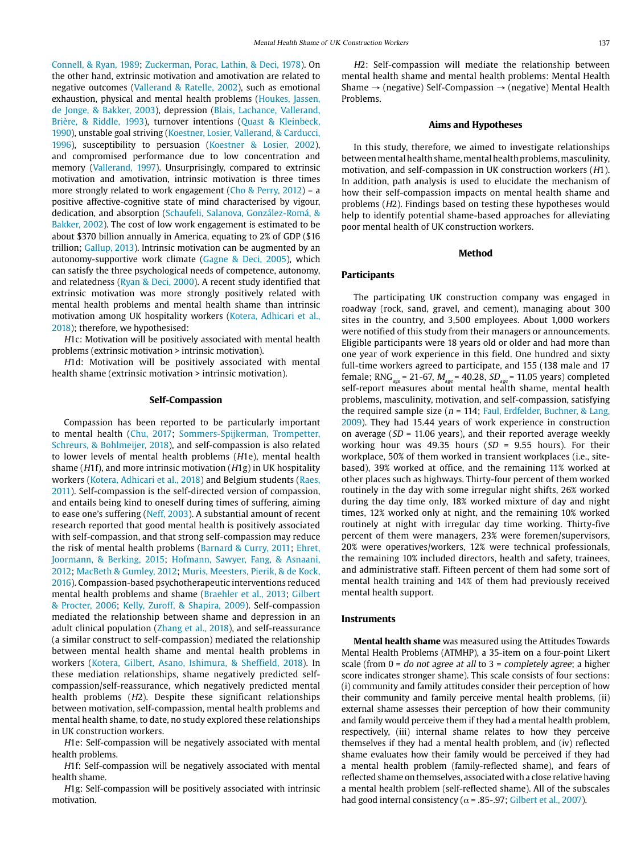[Connell, & Ryan, 1989;](#page-6-11) [Zuckerman, Porac, Lathin, & Deci, 1978\)](#page-8-0). On the other hand, extrinsic motivation and amotivation are related to negative outcomes ([Vallerand & Ratelle, 2002\)](#page-7-20), such as emotional exhaustion, physical and mental health problems (Houkes, Jassen, de Jonge, & Bakker, 2003), depression [\(Blais, Lachance, Vallerand,](#page-6-14)  [Brière, & Riddle, 1993\)](#page-6-14), turnover intentions [\(Quast & Kleinbeck,](#page-7-21)  [1990](#page-7-21)), unstable goal striving [\(Koestner, Losier, Vallerand, & Carducci,](#page-7-16)  [1996](#page-7-16)), susceptibility to persuasion ([Koestner & Losier, 2002\)](#page-7-16), and compromised performance due to low concentration and memory [\(Vallerand, 1997\)](#page-7-20). Unsurprisingly, compared to extrinsic motivation and amotivation, intrinsic motivation is three times more strongly related to work engagement ([Cho & Perry, 2012\)](#page-6-15) – a positive affective-cognitive state of mind characterised by vigour, dedication, and absorption [\(Schaufeli, Salanova, González-Romá, &](#page-7-22)  [Bakker, 2002](#page-7-22)). The cost of low work engagement is estimated to be about \$370 billion annually in America, equating to 2% of GDP (\$16 trillion; [Gallup, 2013\)](file:Gallup%2C%202013). Intrinsic motivation can be augmented by an autonomy-supportive work climate ([Gagne & Deci, 2005](#page-6-12)), which can satisfy the three psychological needs of competence, autonomy, and relatedness [\(Ryan & Deci, 2000](#page-7-23)). A recent study identified that extrinsic motivation was more strongly positively related with mental health problems and mental health shame than intrinsic motivation among UK hospitality workers ([Kotera, Adhicari et al.,](#page-7-3)  [2018\)](#page-7-3); therefore, we hypothesised:

H1c: Motivation will be positively associated with mental health problems (extrinsic motivation > intrinsic motivation).

H1d: Motivation will be positively associated with mental health shame (extrinsic motivation > intrinsic motivation).

#### **Self-Compassion**

Compassion has been reported to be particularly important to mental health [\(Chu, 2017;](#page-6-16) [Sommers-Spijkerman, Trompetter,](#page-7-24)  [Schreurs, & Bohlmeijer, 2018\)](#page-7-24), and self-compassion is also related to lower levels of mental health problems (H1e), mental health shame ( $H1f$ ), and more intrinsic motivation ( $H1g$ ) in UK hospitality workers ([Kotera, Adhicari et al., 2018](#page-7-3)) and Belgium students ([Raes,](#page-7-25)  [2011\)](#page-7-25). Self-compassion is the self-directed version of compassion, and entails being kind to oneself during times of suffering, aiming to ease one's suffering (Neff, 2003). A substantial amount of recent research reported that good mental health is positively associated with self-compassion, and that strong self-compassion may reduce the risk of mental health problems ([Barnard & Curry, 2011](#page-6-17); [Ehret,](#page-6-18)  [Joormann, & Berking, 2015](#page-6-18); [Hofmann, Sawyer, Fang, & Asnaani,](#page-7-26)  [2012](#page-7-26); [MacBeth & Gumley, 2012;](#page-7-27) [Muris, Meesters, Pierik, & de Kock,](#page-7-28)  [2016](#page-7-28)). Compassion-based psychotherapeutic interventions reduced mental health problems and shame (Braehler et al., [2013;](#page-6-19) [Gilbert](#page-6-2)  [& Procter, 2006](#page-6-2); [Kelly, Zuroff, & Shapira, 2009\)](#page-7-29). Self-compassion mediated the relationship between shame and depression in an adult clinical population [\(Zhang et al., 2018\)](#page-7-30), and self-reassurance (a similar construct to self-compassion) mediated the relationship between mental health shame and mental health problems in workers [\(Kotera, Gilbert, Asano, Ishimura, & Sheffield, 2018](#page-7-3)). In these mediation relationships, shame negatively predicted selfcompassion/self-reassurance, which negatively predicted mental health problems (H2). Despite these significant relationships between motivation, self-compassion, mental health problems and mental health shame, to date, no study explored these relationships in UK construction workers.

H1e: Self-compassion will be negatively associated with mental health problems.

H1f: Self-compassion will be negatively associated with mental health shame.

H1g: Self-compassion will be positively associated with intrinsic motivation.

H2: Self-compassion will mediate the relationship between mental health shame and mental health problems: Mental Health Shame  $\rightarrow$  (negative) Self-Compassion  $\rightarrow$  (negative) Mental Health Problems.

#### **Aims and Hypotheses**

In this study, therefore, we aimed to investigate relationships between mental health shame, mental health problems, masculinity, motivation, and self-compassion in UK construction workers (H1). In addition, path analysis is used to elucidate the mechanism of how their self-compassion impacts on mental health shame and problems (H2). Findings based on testing these hypotheses would help to identify potential shame-based approaches for alleviating poor mental health of UK construction workers.

#### **Method**

#### **Participants**

The participating UK construction company was engaged in roadway (rock, sand, gravel, and cement), managing about 300 sites in the country, and 3,500 employees. About 1,000 workers were notified of this study from their managers or announcements. Eligible participants were 18 years old or older and had more than one year of work experience in this field. One hundred and sixty full-time workers agreed to participate, and 155 (138 male and 17 female; RNG<sub>300</sub> = 21-67,  $M_{\text{gas}}$  = 40.28,  $SD_{\text{gas}}$  = 11.05 years) completed self-report measures about mental health shame, mental health problems, masculinity, motivation, and self-compassion, satisfying the required sample size ( $n = 114$ ; Faul, Erdfelder, Buchner, & Lang, [2009](#page-6-20)). They had 15.44 years of work experience in construction on average ( $SD = 11.06$  years), and their reported average weekly working hour was 49.35 hours ( $SD = 9.55$  hours). For their workplace, 50% of them worked in transient workplaces (i.e., sitebased), 39% worked at office, and the remaining 11% worked at other places such as highways. Thirty-four percent of them worked routinely in the day with some irregular night shifts, 26% worked during the day time only, 18% worked mixture of day and night times, 12% worked only at night, and the remaining 10% worked routinely at night with irregular day time working. Thirty-five percent of them were managers, 23% were foremen/supervisors, 20% were operatives/workers, 12% were technical professionals, the remaining 10% included directors, health and safety, trainees, and administrative staff. Fifteen percent of them had some sort of mental health training and 14% of them had previously received mental health support.

#### **Instruments**

**Mental health shame** was measured using the Attitudes Towards Mental Health Problems (ATMHP), a 35-item on a four-point Likert scale (from  $0 = do$  not agree at all to  $3 = completely$  agree; a higher score indicates stronger shame). This scale consists of four sections: (i) community and family attitudes consider their perception of how their community and family perceive mental health problems, (ii) external shame assesses their perception of how their community and family would perceive them if they had a mental health problem, respectively, (iii) internal shame relates to how they perceive themselves if they had a mental health problem, and (iv) reflected shame evaluates how their family would be perceived if they had a mental health problem (family-reflected shame), and fears of reflected shame on themselves, associated with a close relative having a mental health problem (self-reflected shame). All of the subscales had good internal consistency ( $\alpha$  = .85-.97; [Gilbert et al., 2007\)](#page-6-2).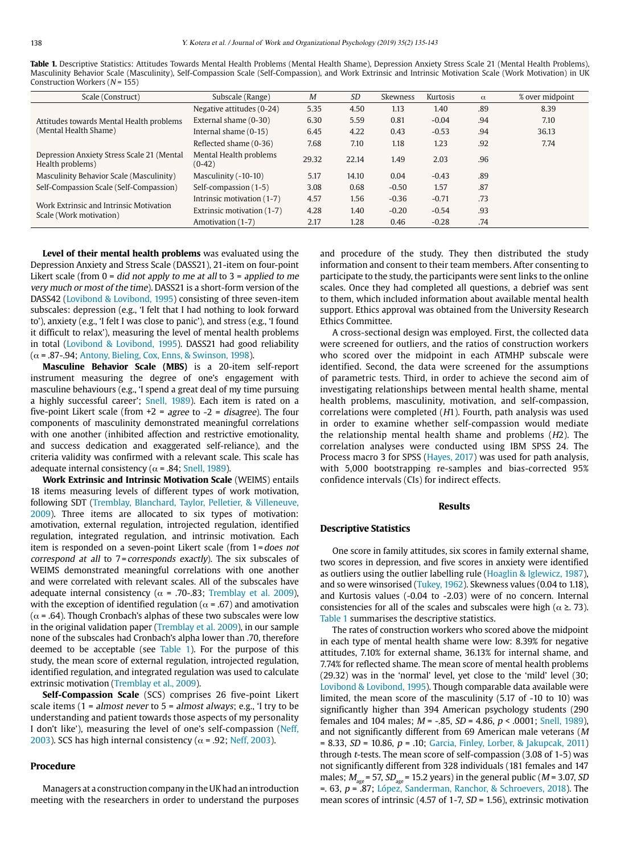<span id="page-3-0"></span>**Table 1.** Descriptive Statistics: Attitudes Towards Mental Health Problems (Mental Health Shame), Depression Anxiety Stress Scale 21 (Mental Health Problems), Masculinity Behavior Scale (Masculinity), Self-Compassion Scale (Self-Compassion), and Work Extrinsic and Intrinsic Motivation Scale (Work Motivation) in UK Construction Workers ( $N = 155$ )

| Scale (Construct)                                                  | Subscale (Range)                   | $\overline{M}$ | <b>SD</b> | <b>Skewness</b> | Kurtosis | $\alpha$ | % over midpoint |
|--------------------------------------------------------------------|------------------------------------|----------------|-----------|-----------------|----------|----------|-----------------|
| Attitudes towards Mental Health problems                           | Negative attitudes (0-24)          | 5.35           | 4.50      | 1.13            | 1.40     | .89      | 8.39            |
|                                                                    | External shame (0-30)              | 6.30           | 5.59      | 0.81            | $-0.04$  | .94      | 7.10            |
| (Mental Health Shame)                                              | Internal shame (0-15)              | 6.45           | 4.22      | 0.43            | $-0.53$  | .94      | 36.13           |
|                                                                    | Reflected shame (0-36)             | 7.68           | 7.10      | 1.18            | 1.23     | .92      | 7.74            |
| Depression Anxiety Stress Scale 21 (Mental<br>Health problems)     | Mental Health problems<br>$(0-42)$ | 29.32          | 22.14     | 1.49            | 2.03     | .96      |                 |
| Masculinity Behavior Scale (Masculinity)                           | Masculinity (-10-10)               | 5.17           | 14.10     | 0.04            | $-0.43$  | .89      |                 |
| Self-Compassion Scale (Self-Compassion)                            | Self-compassion (1-5)              | 3.08           | 0.68      | $-0.50$         | 1.57     | .87      |                 |
| Work Extrinsic and Intrinsic Motivation<br>Scale (Work motivation) | Intrinsic motivation (1-7)         | 4.57           | 1.56      | $-0.36$         | $-0.71$  | .73      |                 |
|                                                                    | Extrinsic motivation (1-7)         | 4.28           | 1.40      | $-0.20$         | $-0.54$  | .93      |                 |
|                                                                    | Amotivation (1-7)                  | 2.17           | 1.28      | 0.46            | $-0.28$  | .74      |                 |

**Level of their mental health problems** was evaluated using the Depression Anxiety and Stress Scale (DASS21), 21-item on four-point Likert scale (from  $0 = did not apply to me at all to  $3 = applied to me$$ very much or most of the time). DASS21 is a short-form version of the DASS42 ([Lovibond & Lovibond, 1995](#page-7-31)) consisting of three seven-item subscales: depression (e.g., 'I felt that I had nothing to look forward to'), anxiety (e.g., 'I felt I was close to panic'), and stress (e.g., 'I found it difficult to relax'), measuring the level of mental health problems in total [\(Lovibond & Lovibond, 1995\)](#page-7-31). DASS21 had good reliability  $(\alpha = .87, .94;$  [Antony, Bieling, Cox, Enns, & Swinson, 1998\)](#page-6-21).

**Masculine Behavior Scale (MBS)** is a 20-item self-report instrument measuring the degree of one's engagement with masculine behaviours (e.g., 'I spend a great deal of my time pursuing a highly successful career'; [Snell, 1989\)](#page-7-32). Each item is rated on a five-point Likert scale (from  $+2$  = agree to  $-2$  = disagree). The four components of masculinity demonstrated meaningful correlations with one another (inhibited affection and restrictive emotionality, and success dedication and exaggerated self-reliance), and the criteria validity was confirmed with a relevant scale. This scale has adequate internal consistency ( $\alpha$  = .84; [Snell, 1989](#page-7-32)).

**Work Extrinsic and Intrinsic Motivation Scale** (WEIMS) entails 18 items measuring levels of different types of work motivation, following SDT [\(Tremblay, Blanchard, Taylor, Pelletier, & Villeneuve,](#page-7-33)  [2009\)](#page-7-33). Three items are allocated to six types of motivation: amotivation, external regulation, introjected regulation, identified regulation, integrated regulation, and intrinsic motivation. Each item is responded on a seven-point Likert scale (from 1=does not correspond at all to  $7$ = corresponds exactly). The six subscales of WEIMS demonstrated meaningful correlations with one another and were correlated with relevant scales. All of the subscales have adequate internal consistency ( $\alpha$  = .70-.83; [Tremblay et al. 2009](#page-7-33)), with the exception of identified regulation ( $\alpha$  = .67) and amotivation ( $\alpha$  = .64). Though Cronbach's alphas of these two subscales were low in the original validation paper [\(Tremblay et al. 2009\)](#page-7-33), in our sample none of the subscales had Cronbach's alpha lower than .70, therefore deemed to be acceptable (see [Table 1](#page-3-0)). For the purpose of this study, the mean score of external regulation, introjected regulation, identified regulation, and integrated regulation was used to calculate extrinsic motivation [\(Tremblay et al., 2009](#page-7-33)).

**Self-Compassion Scale** (SCS) comprises 26 five-point Likert scale items (1 = almost never to 5 = almost always; e.g., 'I try to be understanding and patient towards those aspects of my personality I don't like'), measuring the level of one's self-compassion (Neff, 2003). SCS has high internal consistency ( $\alpha$  = .92; Neff, 2003).

#### **Procedure**

Managers at a construction company in the UK had an introduction meeting with the researchers in order to understand the purposes and procedure of the study. They then distributed the study information and consent to their team members. After consenting to participate to the study, the participants were sent links to the online scales. Once they had completed all questions, a debrief was sent to them, which included information about available mental health support. Ethics approval was obtained from the University Research Ethics Committee.

A cross-sectional design was employed. First, the collected data were screened for outliers, and the ratios of construction workers who scored over the midpoint in each ATMHP subscale were identified. Second, the data were screened for the assumptions of parametric tests. Third, in order to achieve the second aim of investigating relationships between mental health shame, mental health problems, masculinity, motivation, and self-compassion, correlations were completed (H1). Fourth, path analysis was used in order to examine whether self-compassion would mediate the relationship mental health shame and problems (H2). The correlation analyses were conducted using IBM SPSS 24. The Process macro 3 for SPSS ([Hayes, 2017](#page-6-22)) was used for path analysis, with 5,000 bootstrapping re-samples and bias-corrected 95% confidence intervals (CIs) for indirect effects.

#### **Results**

#### **Descriptive Statistics**

One score in family attitudes, six scores in family external shame, two scores in depression, and five scores in anxiety were identified as outliers using the outlier labelling rule ([Hoaglin & Iglewicz, 1987](#page-7-34)), and so were winsorised ([Tukey, 1962\)](#page-7-35). Skewness values (0.04 to 1.18), and Kurtosis values (-0.04 to -2.03) were of no concern. Internal consistencies for all of the scales and subscales were high ( $\alpha \geq 73$ ). [Table 1](#page-3-0) summarises the descriptive statistics.

The rates of construction workers who scored above the midpoint in each type of mental health shame were low: 8.39% for negative attitudes, 7.10% for external shame, 36.13% for internal shame, and 7.74% for reflected shame. The mean score of mental health problems (29.32) was in the 'normal' level, yet close to the 'mild' level (30; [Lovibond & Lovibond, 1995\)](#page-7-31). Though comparable data available were limited, the mean score of the masculinity (5.17 of -10 to 10) was significantly higher than 394 American psychology students (290 females and 104 males;  $M = -.85$ ,  $SD = 4.86$ ,  $p < .0001$ ; [Snell, 1989](#page-7-32)), and not significantly different from 69 American male veterans (M  $= 8.33, SD = 10.86, p = .10;$  [Garcia, Finley, Lorber, & Jakupcak, 2011](#page-6-23)) through t-tests. The mean score of self-compassion (3.08 of 1-5) was not significantly different from 328 individuals (181 females and 147 males;  $M_{\rm age}$ = 57, S $D_{\rm age}$ = 15.2 years) in the general public (M = 3.07, SD  $=$ . 63,  $p$  = .87; [López, Sanderman, Ranchor, & Schroevers, 2018](#page-7-36)). The mean scores of intrinsic (4.57 of 1-7, SD = 1.56), extrinsic motivation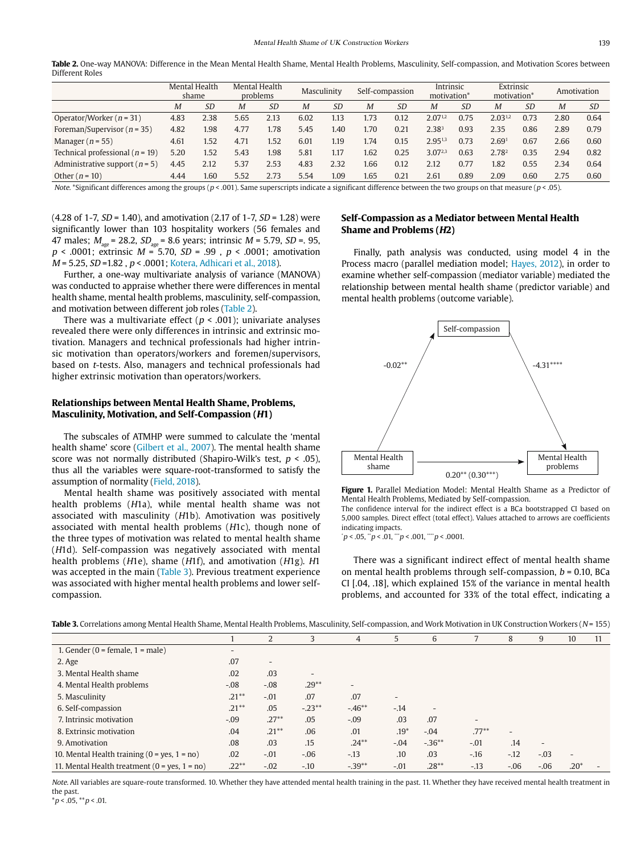<span id="page-4-0"></span>Table 2. One-way MANOVA: Difference in the Mean Mental Health Shame, Mental Health Problems, Masculinity, Self-compassion, and Motivation Scores between Different Roles

|                                     | Mental Health<br>Mental Health<br>problems<br>shame |           |      | Masculinity |      | Self-compassion |      | Intrinsic<br>motivation <sup>*</sup> |              | Extrinsic<br>motivation* |                   | Amotivation |      |           |
|-------------------------------------|-----------------------------------------------------|-----------|------|-------------|------|-----------------|------|--------------------------------------|--------------|--------------------------|-------------------|-------------|------|-----------|
|                                     | M                                                   | <i>SD</i> | M    | <i>SD</i>   | M    | SD              | M    | SD                                   | M            | SD                       | M                 | <i>SD</i>   | M    | <i>SD</i> |
| Operator/Worker ( $n = 31$ )        | 4.83                                                | 2.38      | 5.65 | 2.13        | 6.02 | 1.13            | 1.73 | 0.12                                 | 2.0712       | 0.75                     | $2.03^{1,2}$      | 0.73        | 2.80 | 0.64      |
| Foreman/Supervisor ( $n = 35$ )     | 4.82                                                | 1.98      | 4.77 | 1.78        | 5.45 | 1.40            | 1.70 | 0.21                                 | $2.38^{3}$   | 0.93                     | 2.35              | 0.86        | 2.89 | 0.79      |
| Manager ( $n = 55$ )                | 4.61                                                | 1.52      | 4.71 | 1.52        | 6.01 | 1.19            | 1.74 | 0.15                                 | 2.951,3      | 0.73                     | 2.69 <sup>1</sup> | 0.67        | 2.66 | 0.60      |
| Technical professional ( $n = 19$ ) | 5.20                                                | 1.52      | 5.43 | 1.98        | 5.81 | 1.17            | 1.62 | 0.25                                 | $3.07^{2,3}$ | 0.63                     | 2.782             | 0.35        | 2.94 | 0.82      |
| Administrative support ( $n = 5$ )  | 4.45                                                | 2.12      | 5.37 | 2.53        | 4.83 | 2.32            | 1.66 | 0.12                                 | 2.12         | 0.77                     | 1.82              | 0.55        | 2.34 | 0.64      |
| Other $(n = 10)$                    | 4.44                                                | 1.60      | 5.52 | 2.73        | 5.54 | 1.09            | 1.65 | 0.21                                 | 2.61         | 0.89                     | 2.09              | 0.60        | 2.75 | 0.60      |

Note. \*Significant differences among the groups ( $p < .001$ ). Same superscripts indicate a significant difference between the two groups on that measure ( $p < .05$ ).

(4.28 of 1-7,  $SD = 1.40$ ), and amotivation (2.17 of 1-7,  $SD = 1.28$ ) were significantly lower than 103 hospitality workers (56 females and 47 males;  $M_{\text{age}}$  = 28.2,  $SD_{\text{age}}$  = 8.6 years; intrinsic  $M$  = 5.79,  $SD$  = 95,  $p \lt 0.0001$ ; extrinsic  $M = 5.70$ ,  $SD = 0.99$ ,  $p \lt 0.0001$ ; amotivation M = 5.25, SD =1.82 , p < .0001; [Kotera, Adhicari et al., 2018\)](#page-7-3).

Further, a one-way multivariate analysis of variance (MANOVA) was conducted to appraise whether there were differences in mental health shame, mental health problems, masculinity, self-compassion, and motivation between different job roles ([Table 2](#page-4-0)).

There was a multivariate effect ( $p < .001$ ); univariate analyses revealed there were only differences in intrinsic and extrinsic motivation. Managers and technical professionals had higher intrinsic motivation than operators/workers and foremen/supervisors, based on t-tests. Also, managers and technical professionals had higher extrinsic motivation than operators/workers.

# **Relationships between Mental Health Shame, Problems, Masculinity, Motivation, and Self-Compassion (H1)**

The subscales of ATMHP were summed to calculate the 'mental health shame' score [\(Gilbert et al., 2007](#page-6-2)). The mental health shame score was not normally distributed (Shapiro-Wilk's test,  $p < .05$ ), thus all the variables were square-root-transformed to satisfy the assumption of normality ([Field, 2018\)](#page-6-24).

Mental health shame was positively associated with mental health problems (H1a), while mental health shame was not associated with masculinity (H1b). Amotivation was positively associated with mental health problems (H1c), though none of the three types of motivation was related to mental health shame (H1d). Self-compassion was negatively associated with mental health problems (H1e), shame (H1f), and amotivation (H1g). H1 was accepted in the main [\(Table 3](#page-4-1)). Previous treatment experience was associated with higher mental health problems and lower selfcompassion.

# **Self-Compassion as a Mediator between Mental Health Shame and Problems (H2)**

Finally, path analysis was conducted, using model 4 in the Process macro (parallel mediation model; [Hayes, 2012](#page-6-22)), in order to examine whether self-compassion (mediator variable) mediated the relationship between mental health shame (predictor variable) and mental health problems (outcome variable).



<span id="page-4-2"></span>**Figure 1.** Parallel Mediation Model: Mental Health Shame as a Predictor of Mental Health Problems, Mediated by Self-compassion.

The confidence interval for the indirect effect is a BCa bootstrapped CI based on 5,000 samples. Direct effect (total effect). Values attached to arrows are coefficients indicating impacts.

 $\dot{p}$  < .05,  $\ddot{p}$  < .01,  $\dddot{p}$  < .001,  $\dddot{p}$  < .0001.

There was a significant indirect effect of mental health shame on mental health problems through self-compassion,  $b = 0.10$ , BCa CI [.04, .18], which explained 15% of the variance in mental health problems, and accounted for 33% of the total effect, indicating a

<span id="page-4-1"></span>Table 3. Correlations among Mental Health Shame, Mental Health Problems, Masculinity, Self-compassion, and Work Motivation in UK Construction Workers (N = 155)

|                                                 |                          |          | 3              | 4                        | 5                        | 6                        |                          | 8      | 9                        | 10                       | 11 |
|-------------------------------------------------|--------------------------|----------|----------------|--------------------------|--------------------------|--------------------------|--------------------------|--------|--------------------------|--------------------------|----|
| 1. Gender ( $0 =$ female, $1 =$ male)           | $\overline{\phantom{0}}$ |          |                |                          |                          |                          |                          |        |                          |                          |    |
| 2. Age                                          | .07                      | -        |                |                          |                          |                          |                          |        |                          |                          |    |
| 3. Mental Health shame                          | .02                      | .03      | $\overline{a}$ |                          |                          |                          |                          |        |                          |                          |    |
| 4. Mental Health problems                       | $-.08$                   | $-.08$   | $.29**$        | $\overline{\phantom{a}}$ |                          |                          |                          |        |                          |                          |    |
| 5. Masculinity                                  | $.21***$                 | $-.01$   | .07            | .07                      | $\overline{\phantom{a}}$ |                          |                          |        |                          |                          |    |
| 6. Self-compassion                              | $.21***$                 | .05      | $-.23**$       | $-46**$                  | $-.14$                   | $\overline{\phantom{a}}$ |                          |        |                          |                          |    |
| 7. Intrinsic motivation                         | $-.09$                   | $.27***$ | .05            | $-.09$                   | .03                      | .07                      | $\overline{\phantom{a}}$ |        |                          |                          |    |
| 8. Extrinsic motivation                         | .04                      | $.21***$ | .06            | .01                      | $.19*$                   | $-.04$                   | $.77***$                 | ۰      |                          |                          |    |
| 9. Amotivation                                  | .08                      | .03      | .15            | $.24***$                 | $-.04$                   | $-.36***$                | $-.01$                   | .14    | $\overline{\phantom{a}}$ |                          |    |
| 10. Mental Health training $(0 = yes, 1 = no)$  | .02                      | $-.01$   | $-.06$         | $-.13$                   | .10                      | .03                      | $-.16$                   | $-.12$ | $-.03$                   | $\overline{\phantom{a}}$ |    |
| 11. Mental Health treatment $(0 = yes, 1 = no)$ | $.22**$                  | $-.02$   | $-.10$         | $-.39**$                 | $-.01$                   | $.28**$                  | $-.13$                   | $-.06$ | $-.06$                   | $.20*$                   |    |

Note. All variables are square-route transformed. 10. Whether they have attended mental health training in the past. 11. Whether they have received mental health treatment in the past.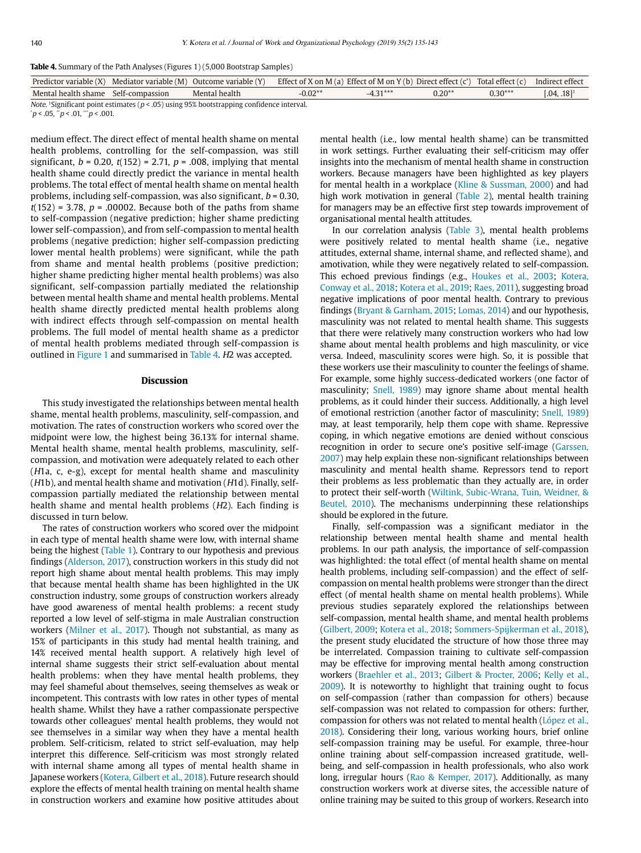<span id="page-5-0"></span>

| <b>Table 4.</b> Summary of the Path Analyses (Figures 1) (5,000 Bootstrap Samples) |  |  |
|------------------------------------------------------------------------------------|--|--|
|------------------------------------------------------------------------------------|--|--|

|                                                                                               |  | Predictor variable (X) Mediator variable (M) Outcome variable (Y) Effect of X on M (a) Effect of M on Y (b) Direct effect (c') Total effect (c) Indirect effect |           |            |          |           |                           |  |  |  |
|-----------------------------------------------------------------------------------------------|--|-----------------------------------------------------------------------------------------------------------------------------------------------------------------|-----------|------------|----------|-----------|---------------------------|--|--|--|
| Mental health shame Self-compassion                                                           |  | Mental health                                                                                                                                                   | $-0.02**$ | $-4.31***$ | $0.20**$ | $0.30***$ | $[.04, .18]$ <sup>1</sup> |  |  |  |
| Make 10 initia and paint active that (p > OE) using OEV has to transmine and idea as integral |  |                                                                                                                                                                 |           |            |          |           |                           |  |  |  |

Note. 1Significant point estimates ( $p < .05$ ) using 95% bootstrapping confidence interval.  $\gamma p < 0.05, \gamma p < 0.01, \gamma^2 p < 0.001.$ 

medium effect. The direct effect of mental health shame on mental health problems, controlling for the self-compassion, was still significant,  $b = 0.20$ ,  $t(152) = 2.71$ ,  $p = .008$ , implying that mental health shame could directly predict the variance in mental health problems. The total effect of mental health shame on mental health problems, including self-compassion, was also significant,  $b = 0.30$ ,  $t(152) = 3.78$ ,  $p = .00002$ . Because both of the paths from shame to self-compassion (negative prediction; higher shame predicting lower self-compassion), and from self-compassion to mental health problems (negative prediction; higher self-compassion predicting lower mental health problems) were significant, while the path from shame and mental health problems (positive prediction; higher shame predicting higher mental health problems) was also significant, self-compassion partially mediated the relationship between mental health shame and mental health problems. Mental health shame directly predicted mental health problems along with indirect effects through self-compassion on mental health problems. The full model of mental health shame as a predictor of mental health problems mediated through self-compassion is outlined in [Figure 1](#page-4-2) and summarised in [Table 4.](#page-5-0) H2 was accepted.

### **Discussion**

This study investigated the relationships between mental health shame, mental health problems, masculinity, self-compassion, and motivation. The rates of construction workers who scored over the midpoint were low, the highest being 36.13% for internal shame. Mental health shame, mental health problems, masculinity, selfcompassion, and motivation were adequately related to each other (H1a, c, e-g), except for mental health shame and masculinity  $(H1b)$ , and mental health shame and motivation  $(H1d)$ . Finally, selfcompassion partially mediated the relationship between mental health shame and mental health problems (H2). Each finding is discussed in turn below.

The rates of construction workers who scored over the midpoint in each type of mental health shame were low, with internal shame being the highest [\(Table 1](#page-3-0)). Contrary to our hypothesis and previous findings [\(Alderson, 2017\)](#page-6-1), construction workers in this study did not report high shame about mental health problems. This may imply that because mental health shame has been highlighted in the UK construction industry, some groups of construction workers already have good awareness of mental health problems: a recent study reported a low level of self-stigma in male Australian construction workers [\(Milner et al., 2017](#page-7-4)). Though not substantial, as many as 15% of participants in this study had mental health training, and 14% received mental health support. A relatively high level of internal shame suggests their strict self-evaluation about mental health problems: when they have mental health problems, they may feel shameful about themselves, seeing themselves as weak or incompetent. This contrasts with low rates in other types of mental health shame. Whilst they have a rather compassionate perspective towards other colleagues' mental health problems, they would not see themselves in a similar way when they have a mental health problem. Self-criticism, related to strict self-evaluation, may help interpret this difference. Self-criticism was most strongly related with internal shame among all types of mental health shame in Japanese workers [\(Kotera, Gilbert et al., 2018\)](#page-7-3). Future research should explore the effects of mental health training on mental health shame in construction workers and examine how positive attitudes about mental health (i.e., low mental health shame) can be transmitted in work settings. Further evaluating their self-criticism may offer insights into the mechanism of mental health shame in construction workers. Because managers have been highlighted as key players for mental health in a workplace ([Kline & Sussman, 2000](#page-7-37)) and had high work motivation in general ([Table 2](#page-4-0)), mental health training for managers may be an effective first step towards improvement of organisational mental health attitudes.

In our correlation analysis ([Table 3\)](#page-4-1), mental health problems were positively related to mental health shame (i.e., negative attitudes, external shame, internal shame, and reflected shame), and amotivation, while they were negatively related to self-compassion. This echoed previous findings (e.g., Houkes et al., 2003; [Kotera,](#page-7-3) [Conway et al., 2018;](#page-7-3) [Kotera et al., 2019;](#page-7-3) [Raes, 2011](#page-7-25)), suggesting broad negative implications of poor mental health. Contrary to previous findings [\(Bryant & Garnham, 2015](#page-6-6); [Lomas, 2014\)](#page-7-6) and our hypothesis, masculinity was not related to mental health shame. This suggests that there were relatively many construction workers who had low shame about mental health problems and high masculinity, or vice versa. Indeed, masculinity scores were high. So, it is possible that these workers use their masculinity to counter the feelings of shame. For example, some highly success-dedicated workers (one factor of masculinity; [Snell, 1989](#page-7-32)) may ignore shame about mental health problems, as it could hinder their success. Additionally, a high level of emotional restriction (another factor of masculinity; [Snell, 1989](#page-7-32)) may, at least temporarily, help them cope with shame. Repressive coping, in which negative emotions are denied without conscious recognition in order to secure one's positive self-image [\(Garssen,](#page-6-23) [2007](#page-6-23)) may help explain these non-significant relationships between masculinity and mental health shame. Repressors tend to report their problems as less problematic than they actually are, in order to protect their self-worth [\(Wiltink, Subic-Wrana, Tuin, Weidner, &](#page-7-38) [Beutel, 2010](#page-7-38)). The mechanisms underpinning these relationships should be explored in the future.

Finally, self-compassion was a significant mediator in the relationship between mental health shame and mental health problems. In our path analysis, the importance of self-compassion was highlighted: the total effect (of mental health shame on mental health problems, including self-compassion) and the effect of selfcompassion on mental health problems were stronger than the direct effect (of mental health shame on mental health problems). While previous studies separately explored the relationships between self-compassion, mental health shame, and mental health problems ([Gilbert, 2009](#page-6-2); [Kotera et al., 2018;](#page-7-3) [Sommers-Spijkerman et al., 2018](#page-7-24)), the present study elucidated the structure of how those three may be interrelated. Compassion training to cultivate self-compassion may be effective for improving mental health among construction workers [\(Braehler et al., 2013;](#page-6-19) [Gilbert & Procter, 2006;](#page-6-2) [Kelly et al.,](#page-7-29) [2009](#page-7-29)). It is noteworthy to highlight that training ought to focus on self-compassion (rather than compassion for others) because self-compassion was not related to compassion for others: further, compassion for others was not related to mental health [\(López et al.,](#page-7-36) [2018](#page-7-36)). Considering their long, various working hours, brief online self-compassion training may be useful. For example, three-hour online training about self-compassion increased gratitude, wellbeing, and self-compassion in health professionals, who also work long, irregular hours [\(Rao & Kemper, 2017\)](#page-7-39). Additionally, as many construction workers work at diverse sites, the accessible nature of online training may be suited to this group of workers. Research into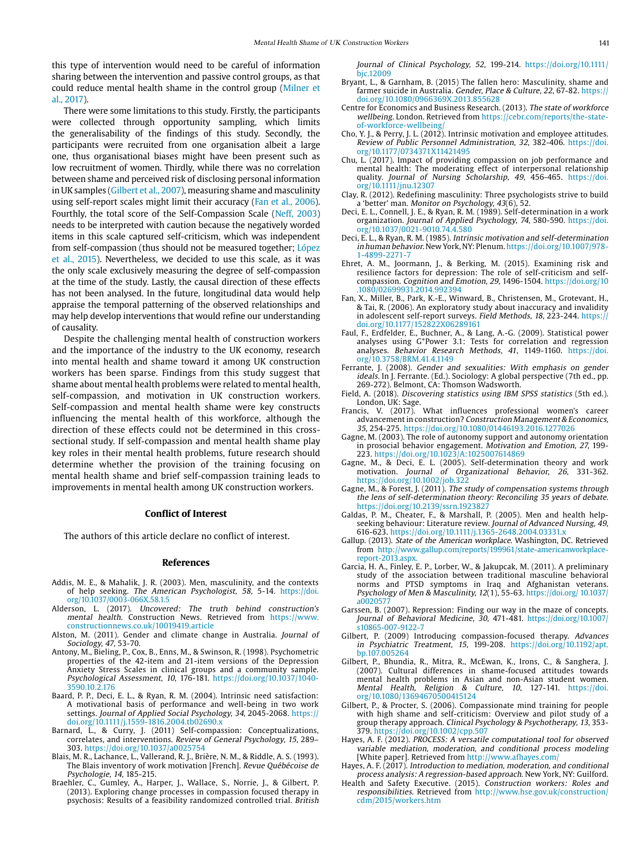this type of intervention would need to be careful of information sharing between the intervention and passive control groups, as that could reduce mental health shame in the control group [\(Milner et](#page-7-4)  [al., 2017\)](#page-7-4).

There were some limitations to this study. Firstly, the participants were collected through opportunity sampling, which limits the generalisability of the findings of this study. Secondly, the participants were recruited from one organisation albeit a large one, thus organisational biases might have been present such as low recruitment of women. Thirdly, while there was no correlation between shame and perceived risk of disclosing personal information in UK samples [\(Gilbert et al., 2007](#page-6-2)), measuring shame and masculinity using self-report scales might limit their accuracy ([Fan et al., 2006\)](#page-6-25). Fourthly, the total score of the Self-Compassion Scale (Neff, 2003) needs to be interpreted with caution because the negatively worded items in this scale captured self-criticism, which was independent from self-compassion (thus should not be measured together; [López](#page-7-36)  [et al., 2015\)](#page-7-36). Nevertheless, we decided to use this scale, as it was the only scale exclusively measuring the degree of self-compassion at the time of the study. Lastly, the causal direction of these effects has not been analysed. In the future, longitudinal data would help appraise the temporal patterning of the observed relationships and may help develop interventions that would refine our understanding of causality.

Despite the challenging mental health of construction workers and the importance of the industry to the UK economy, research into mental health and shame toward it among UK construction workers has been sparse. Findings from this study suggest that shame about mental health problems were related to mental health, self-compassion, and motivation in UK construction workers. Self-compassion and mental health shame were key constructs influencing the mental health of this workforce, although the direction of these effects could not be determined in this crosssectional study. If self-compassion and mental health shame play key roles in their mental health problems, future research should determine whether the provision of the training focusing on mental health shame and brief self-compassion training leads to improvements in mental health among UK construction workers.

#### **Conflict of Interest**

The authors of this article declare no conflict of interest.

#### **References**

- <span id="page-6-8"></span>Addis, M. E., & Mahalik, J. R. (2003). Men, masculinity, and the contexts of help seeking. The American Psychologist, 58, 5-14. [https://doi.](https://doi.org/10.1037/0003-066X.58.1.5) [org/10.1037/0003-066X.58.1.5](https://doi.org/10.1037/0003-066X.58.1.5)
- <span id="page-6-1"></span>Alderson, L. (2017). Uncovered: The truth behind construction's mental health. Construction News. Retrieved from [https://www.](https://www.constructionnews.co.uk/10019419.article) [constructionnews.co.uk/10019419.article](https://www.constructionnews.co.uk/10019419.article)
- <span id="page-6-5"></span>Alston, M. (2011). Gender and climate change in Australia. Journal of Sociology, 47, 53-70.
- <span id="page-6-21"></span>Antony, M., Bieling, P., Cox, B., Enns, M., & Swinson, R. (1998). Psychometric properties of the 42-item and 21-item versions of the Depression Anxiety Stress Scales in clinical groups and a community sample. Psychological Assessment, 10, 176-181. [https://doi.org/10.1037/1040-](https://doi.org/10.1037/1040-3590.10.2.176) [3590.10.2.176](https://doi.org/10.1037/1040-3590.10.2.176)
- <span id="page-6-13"></span>Baard, P. P., Deci, E. L., & Ryan, R. M. (2004). Intrinsic need satisfaction: A motivational basis of performance and well-being in two work settings. Journal of Applied Social Psychology, 34, 2045-2068. [https://](https://doi.org/10.1111/j.1559-1816.2004.tb02690.x) [doi.org/10.1111/j.1559-1816.2004.tb02690.x](https://doi.org/10.1111/j.1559-1816.2004.tb02690.x)
- <span id="page-6-17"></span>Barnard, L., & Curry, J. (2011) Self-compassion: Conceptualizations, correlates, and interventions. Review of General Psychology, 15, 289– 303. <https://doi.org/10.1037/a0025754>
- <span id="page-6-14"></span>Blais, M. R., Lachance, L., Vallerand, R. J., Brière, N. M., & Riddle, A. S. (1993). The Blais inventory of work motivation [French]. Revue Québécoise de Psychologie, 14, 185-215.
- <span id="page-6-19"></span>Braehler, C., Gumley, A., Harper, J., Wallace, S., Norrie, J., & Gilbert, P. (2013). Exploring change processes in compassion focused therapy in psychosis: Results of a feasibility randomized controlled trial. British

Journal of Clinical Psychology, 52, 199-214. [https://doi.org/10.1111/](https://doi.org/10.1111/bjc.12009) [bjc.12009](https://doi.org/10.1111/bjc.12009)

- <span id="page-6-6"></span>Bryant, L., & Garnham, B. (2015) The fallen hero: Masculinity, shame and farmer suicide in Australia. Gender, Place & Culture, 22, 67-82. https:// doi.org/10.1080/0966369X.2013.855628
- <span id="page-6-10"></span>Centre for Economics and Business Research. (2013). The state of workforce wellbeing. London. Retrieved from [https://cebr.com/reports/the-state](https://cebr.com/reports/the-state-of-workforce-wellbeing/)[of-workforce-wellbeing/](https://cebr.com/reports/the-state-of-workforce-wellbeing/)
- <span id="page-6-15"></span>Cho, Y. J., & Perry, J. L. (2012). Intrinsic motivation and employee attitudes. Review of Public Personnel Administration, 32, 382-406. [https://doi.](https://doi.org/10.1177/0734371X11421495) [org/10.1177/0734371X11421495](https://doi.org/10.1177/0734371X11421495)
- <span id="page-6-16"></span>Chu, L. (2017). Impact of providing compassion on job performance and mental health: The moderating effect of interpersonal relationship quality. Journal of Nursing Scholarship, 49, 456-465. [https://doi.](https://doi.org/10.1111/jnu.12307) [org/10.1111/jnu.12307](https://doi.org/10.1111/jnu.12307)
- <span id="page-6-3"></span>Clay, R. (2012). Redefining masculinity: Three psychologists strive to build a 'better' man. Monitor on Psychology, 43(6), 52.
- <span id="page-6-11"></span>Deci, E. L., Connell, J. E., & Ryan, R. M. (1989). Self-determination in a work organization. Journal of Applied Psychology, 74, 580-590. [https://doi.](https://doi.org/10.1037/0021-9010.74.4.580) [org/10.1037/0021-9010.74.4.580](https://doi.org/10.1037/0021-9010.74.4.580)
- Deci, E. L., & Ryan, R. M. (1985). Intrinsic motivation and self-determination in human behavior. New York, NY: Plenum. [https://doi.org/10.1007/978-](https://doi.org/10.1007/978-1-4899-2271-7) [1-4899-2271-7](https://doi.org/10.1007/978-1-4899-2271-7)
- <span id="page-6-18"></span>Ehret, A. M., Joormann, J., & Berking, M. (2015). Examining risk and resilience factors for depression: The role of self-criticism and selfcompassion. Cognition and Emotion, 29, 1496-1504. [https://doi.org/10](https://doi.org/10.1080/02699931.2014.992394) [.1080/02699931.2014.992394](https://doi.org/10.1080/02699931.2014.992394)
- <span id="page-6-25"></span>Fan, X., Miller, B., Park, K.-E., Winward, B., Christensen, M., Grotevant, H., & Tai, R. (2006). An exploratory study about inaccuracy and invalidity in adolescent self-report surveys. Field Methods, 18, 223-244. [https://](https://doi.org/10.1177/152822X06289161) [doi.org/10.1177/152822X06289161](https://doi.org/10.1177/152822X06289161)
- <span id="page-6-20"></span>Faul, F., Erdfelder, E., Buchner, A., & Lang, A.-G. (2009). Statistical power analyses using G\*Power 3.1: Tests for correlation and regression analyses. Behavior Research Methods, 41, 1149-1160. [https://doi.](https://doi.org/10.3758/BRM.41.4.1149) [org/10.3758/BRM.41.4.1149](https://doi.org/10.3758/BRM.41.4.1149)
- <span id="page-6-4"></span>Ferrante, J. (2008). Gender and sexualities: With emphasis on gender ideals. In J. Ferrante. (Ed.). Sociology: A global perspective (7th ed., pp. 269-272). Belmont, CA: Thomson Wadsworth.
- <span id="page-6-24"></span>Field, A. (2018). Discovering statistics using IBM SPSS statistics (5th ed.). London, UK: Sage.
- <span id="page-6-9"></span>Francis, V. (2017). What influences professional women's career advancement in construction? Construction Management & Economics, 35, 254-275.<https://doi.org/10.1080/01446193.2016.1277026>
- <span id="page-6-12"></span>Gagne, M. (2003). The role of autonomy support and autonomy orientation in prosocial behavior engagement. Motivation and Emotion, 27, 199- 223. <https://doi.org/10.1023/A:1025007614869>
- Gagne, M., & Deci, E. L. (2005). Self-determination theory and work motivation. Journal of Organizational Behavior, 26, 331-362. <https://doi.org/10.1002/job.322>
- Gagne, M., & Forest, J. (2011). The study of compensation systems through the lens of self-determination theory: Reconciling 35 years of debate. <https://doi.org/10.2139/ssrn.1923827>
- <span id="page-6-7"></span>Galdas, P. M., Cheater, F., & Marshall, P. (2005). Men and health helpseeking behaviour: Literature review. Journal of Advanced Nursing, 49, 616-623. <https://doi.org/10.1111/j.1365-2648.2004.03331.x>
- Gallup. (2013). State of the American workplace. Washington, DC. Retrieved from [http://www.gallup.com/reports/199961/state-americanworkplace](http://www.gallup.com/reports/199961/state-american-workplace-report-2013.aspx)[report-2013.aspx.](http://www.gallup.com/reports/199961/state-american-workplace-report-2013.aspx)
- <span id="page-6-23"></span>Garcia, H. A., Finley, E. P., Lorber, W., & Jakupcak, M. (2011). A preliminary study of the association between traditional masculine behavioral norms and PTSD symptoms in Iraq and Afghanistan veterans. Psychology of Men & Masculinity, 12(1), 55-63. [https://doi.org/ 10.1037/](https://doi.org/ 10.1037/a0020577) [a0020577](https://doi.org/ 10.1037/a0020577)
- Garssen, B. (2007). Repression: Finding our way in the maze of concepts. Journal of Behavioral Medicine, 30, 471-481. [https://doi.org/10.1007/](https://doi.org/10.1007/s10865-007-9122-7) [s10865-007-9122-7](https://doi.org/10.1007/s10865-007-9122-7)
- <span id="page-6-2"></span>Gilbert, P. (2009) Introducing compassion-focused therapy. Advances in Psychiatric Treatment, 15, 199-208. [https://doi.org/10.1192/apt.](https://doi.org/10.1192/apt.bp.107.005264) [bp.107.005264](https://doi.org/10.1192/apt.bp.107.005264)
- Gilbert, P., Bhundia, R., Mitra, R., McEwan, K., Irons, C., & Sanghera, J. (2007). Cultural differences in shame-focused attitudes towards mental health problems in Asian and non-Asian student women. Mental Health, Religion & Culture, 10, 127-141. [https://doi.](https://doi.org/10.1080/13694670500415124) [org/10.1080/13694670500415124](https://doi.org/10.1080/13694670500415124)
- Gilbert, P., & Procter, S. (2006). Compassionate mind training for people with high shame and self-criticism: Overview and pilot study of a group therapy approach. Clinical Psychology & Psychotherapy, 13, 353- 379. <https://doi.org/10.1002/cpp.507>
- <span id="page-6-22"></span>Hayes, A. F. (2012). PROCESS: A versatile computational tool for observed variable mediation, moderation, and conditional process modeling [White paper]. Retrieved from http://www.afhayes.com/
- Hayes, A. F. (2017). Introduction to mediation, moderation, and conditional process analysis: A regression-based approach. New York, NY: Guilford.
- <span id="page-6-0"></span>Health and Safety Executive. (2015). Construction workers: Roles and responsibilities. Retrieved from [http://www.hse.gov.uk/construction/](http://www.hse.gov.uk/construction/cdm/2015/workers.htm) [cdm/2015/workers.htm](http://www.hse.gov.uk/construction/cdm/2015/workers.htm)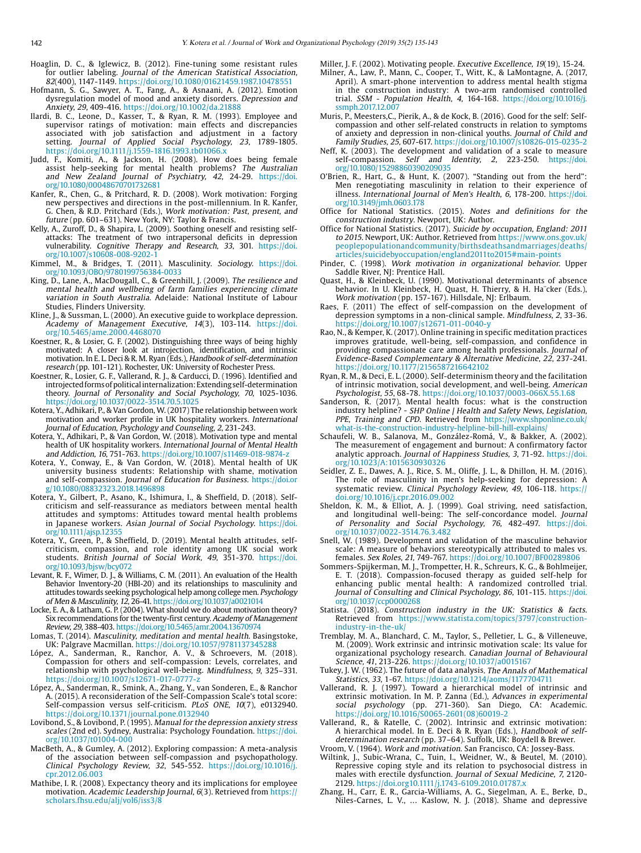- <span id="page-7-34"></span>Hoaglin, D. C., & Iglewicz, B. (2012). Fine-tuning some resistant rules for outlier labeling. Journal of the American Statistical Association, 82(400), 1147-1149. https://doi.org/10.1080/01621459.1987.10478551
- <span id="page-7-26"></span>Hofmann, S. G., Sawyer, A. T., Fang, A., & Asnaani, A. (2012). Emotion dysregulation model of mood and anxiety disorders. Depression and Anxiety, 29, 409-416. https://doi.org/10.1002/da.21888
- <span id="page-7-18"></span>Ilardi, B. C., Leone, D., Kasser, T., & Ryan, R. M. (1993). Employee and supervisor ratings of motivation: main effects and discrepancies associated with job satisfaction and adjustment in a factory setting. Journal of Applied Social Psychology, 23, 1789-1805. <https://doi.org/10.1111/j.1559-1816.1993.tb01066.x>
- <span id="page-7-8"></span>Judd, F., Komiti, A., & Jackson, H. (2008). How does being female assist help-seeking for mental health problems? The Australian and New Zealand Journal of Psychiatry, 42, 24-29. [https://doi.](https://doi.org/10.1080/00048670701732681) [org/10.1080/00048670701732681](https://doi.org/10.1080/00048670701732681)
- <span id="page-7-13"></span>Kanfer, R., Chen, G., & Pritchard, R. D. (2008). Work motivation: Forging new perspectives and directions in the post-millennium. In R. Kanfer, G. Chen, & R.D. Pritchard (Eds.), Work motivation: Past, present, and future (pp. 601–631). New York, NY: Taylor & Francis.
- <span id="page-7-29"></span>Kelly, A., Zuroff, D., & Shapira, L. (2009). Soothing oneself and resisting selfattacks: The treatment of two intrapersonal deficits in depression vulnerability. Cognitive Therapy and Research, 33, 301. [https://doi.](https://doi.org/10.1007/s10608-008-9202-1) [org/10.1007/s10608-008-9202-1](https://doi.org/10.1007/s10608-008-9202-1)
- <span id="page-7-5"></span>Kimmel, M., & Bridges, T. (2011). Masculinity. Sociology. [https://doi.](https://doi.org/10.1093/OBO/9780199756384-0033) [org/10.1093/OBO/9780199756384-0033](https://doi.org/10.1093/OBO/9780199756384-0033)
- <span id="page-7-7"></span>King, D., Lane, A., MacDougall, C., & Greenhill, J. (2009). The resilience and mental health and wellbeing of farm families experiencing climate variation in South Australia. Adelaide: National Institute of Labour Studies, Flinders University.
- <span id="page-7-37"></span>Kline, J., & Sussman, L. (2000). An executive guide to workplace depression. Academy of Management Executive, 14(3), 103-114. [https://doi.](https://doi.org/10.5465/ame.2000.4468070) [org/10.5465/ame.2000.4468070](https://doi.org/10.5465/ame.2000.4468070)
- <span id="page-7-16"></span>Koestner, R., & Losier, G. F. (2002). Distinguishing three ways of being highly motivated: A closer look at introjection, identification, and intrinsic motivation. In E. L. Deci & R. M. Ryan (Eds.), Handbook of self-determination research (pp. 101-121). Rochester, UK: University of Rochester Press.
- Koestner, R., Losier, G. F., Vallerand, R. J., & Carducci, D. (1996). Identified and introjected forms of political internalization: Extending self-determination theory. Journal of Personality and Social Psychology, 70, 1025-1036. <https://doi.org/10.1037/0022-3514.70.5.1025>
- <span id="page-7-3"></span>Kotera, Y., Adhikari, P., & Van Gordon, W. (2017) The relationship between work motivation and worker profile in UK hospitality workers. International Journal of Education, Psychology and Counseling, 2, 231-243.
- Kotera, Y., Adhikari, P., & Van Gordon, W. (2018). Motivation type and mental health of UK hospitality workers. International Journal of Mental Health and Addiction, 16, 751-763. https://doi.org/10.1007/s11469-018-9874-
- Kotera, Y., Conway, E., & Van Gordon, W. (2018). Mental health of UK university business students: Relationship with shame, motivation and self-compassion. Journal of Education for Business. [https://doi.or](https://doi.org/10.1080/08832323.2018.1496898) [g/10.1080/08832323.2018.1496898](https://doi.org/10.1080/08832323.2018.1496898)
- Kotera, Y., Gilbert, P., Asano, K., Ishimura, I., & Sheffield, D. (2018). Selfcriticism and self-reassurance as mediators between mental health attitudes and symptoms: Attitudes toward mental health problems in Japanese workers. Asian Journal of Social Psychology. [https://doi.](https://doi.org/10.1111/ajsp.12355
) [org/10.1111/ajsp.12355](https://doi.org/10.1111/ajsp.12355
)
- Kotera, Y., Green, P., & Sheffield, D. (2019). Mental health attitudes, selfcriticism, compassion, and role identity among UK social work students. British Journal of Social Work, 49, 351-370. [https://doi.](https://doi.org/10.1093/bjsw/bcy072) [org/10.1093/bjsw/bcy072](https://doi.org/10.1093/bjsw/bcy072)
- <span id="page-7-9"></span>Levant, R. F., Wimer, D. J., & Williams, C. M. (2011). An evaluation of the Health Behavior Inventory-20 (HBI-20) and its relationships to masculinity and attitudes towards seeking psychological help among college men. Psychology of Men & Masculinity, 12, 26-41.<https://doi.org/10.1037/a0021014>
- <span id="page-7-19"></span>Locke, E. A., & Latham, G. P. (2004). What should we do about motivation theory? Six recommendations for the twenty-first century. Academy of Management Review, 29, 388-403.<https://doi.org/10.5465/amr.2004.13670974>
- <span id="page-7-6"></span>Lomas, T. (2014). Masculinity, meditation and mental health. Basingstoke, UK: Palgrave Macmillan. <https://doi.org/10.1057/9781137345288>
- <span id="page-7-36"></span>López, A., Sanderman, R., Ranchor, A. V., & Schroevers, M. (2018). Compassion for others and self-compassion: Levels, correlates, and relationship with psychological well-being. Mindfulness, 9, 325–331. https://doi.org/10.1007/s12671-017-0777-z
- López, A., Sanderman, R., Smink, A., Zhang, Y., van Sonderen, E., & Ranchor A. (2015). A reconsideration of the Self-Compassion Scale's total score: Self-compassion versus self-criticism. PLoS ONE, 10(7), e0132940. https://doi.org/10.1371/journal.pone.0132940
- <span id="page-7-31"></span>Lovibond, S., & Lovibond, P. (1995). Manual for the depression anxiety stress scales (2nd ed). Sydney, Australia: Psychology Foundation. [https://doi.](https://doi.org/10.1037/t01004-000) [org/10.1037/t01004-000](https://doi.org/10.1037/t01004-000)
- <span id="page-7-27"></span>MacBeth, A., & Gumley, A. (2012). Exploring compassion: A meta-analysis of the association between self-compassion and psychopathology. Clinical Psychology Review, 32, 545-552. [https://doi.org/10.1016/j.](https://doi.org/10.1016/j.cpr.2012.06.003) [cpr.2012.06.003](https://doi.org/10.1016/j.cpr.2012.06.003)
- <span id="page-7-15"></span>Mathibe, I. R. (2008). Expectancy theory and its implications for employee motivation. Academic Leadership Journal, 6(3). Retrieved from https:// scholars.fhsu.edu/alj/vol6/iss3/8
- <span id="page-7-4"></span>Miller, J. F. (2002). Motivating people. Executive Excellence, 19(19), 15-24. Milner, A., Law, P., Mann, C., Cooper, T., Witt, K., & LaMontagne, A. (2017, April). A smart-phone intervention to address mental health stigma in the construction industry: A two-arm randomised controlled trial. SSM - Population Health, 4, 164-168. [https://doi.org/10.1016/j.](https://doi.org/10.1016/j.ssmph.2017.12.007) [ssmph.2017.12.007](https://doi.org/10.1016/j.ssmph.2017.12.007)
- <span id="page-7-28"></span>Muris, P., Meesters,C., Pierik, A., & de Kock, B. (2016). Good for the self: Selfcompassion and other self-related constructs in relation to symptoms of anxiety and depression in non-clinical youths. Journal of Child and Family Studies, 25, 607-617. <https://doi.org/10.1007/s10826-015-0235-2>
- Neff, K. (2003). The development and validation of a scale to measure self-compassion. Self and Identity, 2, 223-250. [https://doi.](https://doi.org/10.1080/15298860390209035) [org/10.1080/15298860390209035](https://doi.org/10.1080/15298860390209035)
- <span id="page-7-10"></span>O'Brien, R., Hart, G., & Hunt, K. (2007). "Standing out from the herd": Men renegotiating masculinity in relation to their experience of illness. International Journal of Men's Health, 6, 178-200. [https://doi.](https://doi.org/10.3149/jmh.0603.178) [org/10.3149/jmh.0603.178](https://doi.org/10.3149/jmh.0603.178)
- <span id="page-7-0"></span>Office for National Statistics. (2015). Notes and definitions for the construction industry. Newport, UK: Author.
- Office for National Statistics. (2017). Suicide by occupation, England: 2011 to 2015. Newport, UK: Author. Retrieved from [https://www.ons.gov.uk/](https://www.ons.gov.uk/peoplepopulationandcommunity/birthsdeathsandmarriages/deaths/articles/suicidebyoccupation/england2011to2015#main-points) [peoplepopulationandcommunity/birthsdeathsandmarriages/deaths/](https://www.ons.gov.uk/peoplepopulationandcommunity/birthsdeathsandmarriages/deaths/articles/suicidebyoccupation/england2011to2015#main-points) [articles/suicidebyoccupation/england2011to2015#main-points](https://www.ons.gov.uk/peoplepopulationandcommunity/birthsdeathsandmarriages/deaths/articles/suicidebyoccupation/england2011to2015#main-points)
- <span id="page-7-12"></span>Pinder, C. (1998). Work motivation in organizational behavior. Upper Saddle River, NJ: Prentice Hall.
- <span id="page-7-21"></span>Quast, H., & Kleinbeck, U. (1990). Motivational determinants of absence behavior. In U. Kleinbeck, H. Quast, H. Thierry, & H. Ha¨cker (Eds.), Work motivation (pp. 157-167). Hillsdale, NJ: Erlbaum.
- <span id="page-7-25"></span>Raes, F. (2011) The effect of self-compassion on the development of depression symptoms in a non-clinical sample. Mindfulness, 2, 33-36. https://doi.org/10.1007/s12671-011-0040-y
- <span id="page-7-39"></span>Rao, N., & Kemper, K. (2017). Online training in specific meditation practices improves gratitude, well-being, self-compassion, and confidence in providing compassionate care among health professionals. Journal of Evidence-Based Complementary & Alternative Medicine, 22, 237-241. <https://doi.org/10.1177/2156587216642102>
- <span id="page-7-23"></span>Ryan, R. M., & Deci, E. L. (2000). Self-determinism theory and the facilitation of intrinsic motivation, social development, and well-being. American Psychologist, 55, 68-78. <https://doi.org/10.1037/0003-066X.55.1.68>
- <span id="page-7-2"></span>Sanderson, R. (2017). Mental health focus: what is the construction industry helpline? - SHP Online | Health and Safety News, Legislation, PPE, Training and CPD. Retrieved from [https://www.shponline.co.uk/](https://www.shponline.co.uk/what-is-the-construction-industry-helpline-bill-hill-explains/) [what-is-the-construction-industry-helpline-bill-hill-explains/](https://www.shponline.co.uk/what-is-the-construction-industry-helpline-bill-hill-explains/)
- <span id="page-7-22"></span>Schaufeli, W. B., Salanova, M., González-Romá, V., & Bakker, A. (2002). The measurement of engagement and burnout: A confirmatory factor analytic approach. Journal of Happiness Studies, 3, 71-92. [https://doi.](https://doi.org/10.1023/A:1015630930326) [org/10.1023/A:1015630930326](https://doi.org/10.1023/A:1015630930326)
- <span id="page-7-11"></span>Seidler, Z. E., Dawes, A. J., Rice, S. M., Oliffe, J. L., & Dhillon, H. M. (2016). The role of masculinity in men's help-seeking for depression: A systematic review. Clinical Psychology Review, 49, 106-118. https:// doi.org/10.1016/j.cpr.2016.09.002
- <span id="page-7-17"></span>Sheldon, K. M., & Elliot, A. J. (1999). Goal striving, need satisfaction, and longitudinal well-being: The self-concordance model. Journal of Personality and Social Psychology, 76, 482-497. [https://doi.](https://doi.org/10.1037/0022-3514.76.3.482) [org/10.1037/0022-3514.76.3.482](https://doi.org/10.1037/0022-3514.76.3.482)
- <span id="page-7-32"></span>Snell, W. (1989). Development and validation of the masculine behavior scale: A measure of behaviors stereotypically attributed to males vs. females. Sex Roles, 21, 749-767. https://doi.org/10.1007/BF00289806
- <span id="page-7-24"></span>Sommers-Spijkerman, M. J., Trompetter, H. R., Schreurs, K. G., & Bohlmeijer, E. T. (2018). Compassion-focused therapy as guided self-help for enhancing public mental health: A randomized controlled trial. Journal of Consulting and Clinical Psychology, 86, 101-115. [https://doi.](https://doi.org/10.1037/ccp0000268
) [org/10.1037/ccp0000268](https://doi.org/10.1037/ccp0000268
)
- <span id="page-7-1"></span>Statista. (2018). Construction industry in the UK: Statistics & facts. Retrieved from [https://www.statista.com/topics/3797/construction](https://www.statista.com/topics/3797/construction-industry-in-the-uk/)[industry-in-the-uk/](https://www.statista.com/topics/3797/construction-industry-in-the-uk/)
- <span id="page-7-33"></span>Tremblay, M. A., Blanchard, C. M., Taylor, S., Pelletier, L. G., & Villeneuve, M. (2009). Work extrinsic and intrinsic motivation scale: Its value for organizational psychology research. Canadian Journal of Behavioural Science, 41, 213-226.<https://doi.org/10.1037/a0015167>
- <span id="page-7-35"></span>Tukey, J. W. (1962). The future of data analysis. The Annals of Mathematical Statistics, 33, 1-67. <https://doi.org/10.1214/aoms/1177704711>
- <span id="page-7-20"></span>Vallerand, R. J. (1997). Toward a hierarchical model of intrinsic and extrinsic motivation. In M. P. Zanna (Ed.), Advances in experimental social psychology (pp. 271-360). San Diego, CA: Academic. [https://doi.org/10.1016/S0065-2601\(08\)60019-2](https://doi.org/10.1016/S0065-2601(08)60019-2)
- Vallerand, R., & Ratelle, C. (2002). Intrinsic and extrinsic motivation: A hierarchical model. In E. Deci & R. Ryan (Eds.), Handbook of selfdetermination research (pp. 37–64). Suffolk, UK: Boydell & Brewer.
- <span id="page-7-14"></span>Vroom, V. (1964). Work and motivation. San Francisco, CA: Jossey-Bass.
- <span id="page-7-38"></span>Wiltink, J., Subic-Wrana, C., Tuin, I., Weidner, W., & Beutel, M. (2010). Repressive coping style and its relation to psychosocial distress in males with erectile dysfunction. Journal of Sexual Medicine, 7, 2120- 2129. https://doi.org10.1111/j.1743-6109.2010.01787.x
- <span id="page-7-30"></span>Zhang, H., Carr, E. R., Garcia-Williams, A. G., Siegelman, A. E., Berke, D., Niles-Carnes, L. V., … Kaslow, N. J. (2018). Shame and depressive